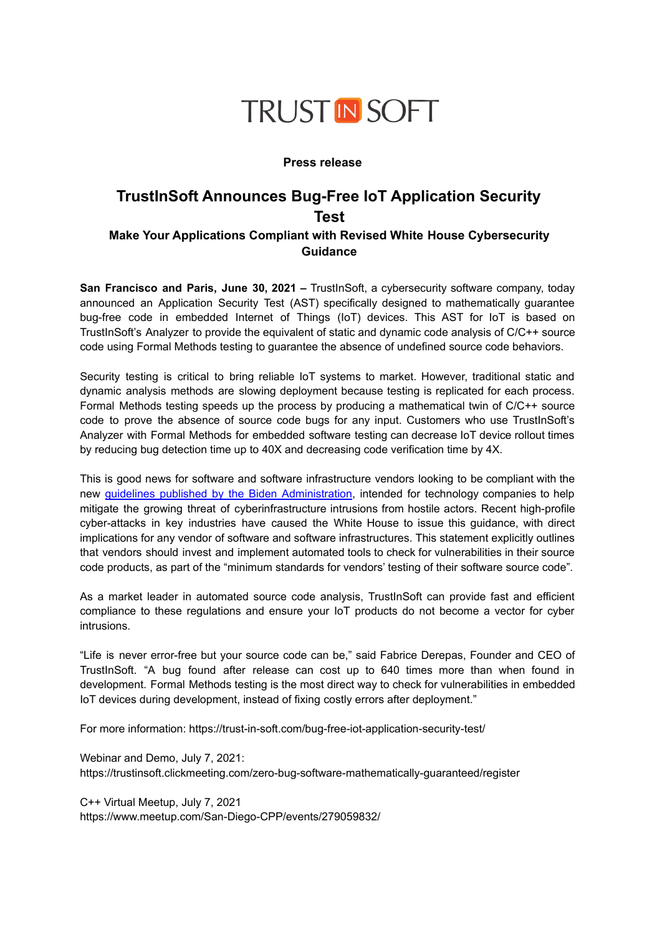

### **Press release**

# **TrustInSoft Announces Bug-Free IoT Application Security Test**

## **Make Your Applications Compliant with Revised White House Cybersecurity Guidance**

**San Francisco and Paris, June 30, 2021 –** TrustInSoft, a cybersecurity software company, today announced an Application Security Test (AST) specifically designed to mathematically guarantee bug-free code in embedded Internet of Things (IoT) devices. This AST for IoT is based on TrustInSoft's Analyzer to provide the equivalent of static and dynamic code analysis of C/C++ source code using Formal Methods testing to guarantee the absence of undefined source code behaviors.

Security testing is critical to bring reliable IoT systems to market. However, traditional static and dynamic analysis methods are slowing deployment because testing is replicated for each process. Formal Methods testing speeds up the process by producing a mathematical twin of C/C++ source code to prove the absence of source code bugs for any input. Customers who use TrustInSoft's Analyzer with Formal Methods for embedded software testing can decrease IoT device rollout times by reducing bug detection time up to 40X and decreasing code verification time by 4X.

This is good news for software and software infrastructure vendors looking to be compliant with the new guidelines published by the Biden [Administration](https://www.whitehouse.gov/briefing-room/presidential-actions/2021/05/12/executive-order-on-improving-the-nations-cybersecurity/), intended for technology companies to help mitigate the growing threat of cyberinfrastructure intrusions from hostile actors. Recent high-profile cyber-attacks in key industries have caused the White House to issue this guidance, with direct implications for any vendor of software and software infrastructures. This statement explicitly outlines that vendors should invest and implement automated tools to check for vulnerabilities in their source code products, as part of the "minimum standards for vendors' testing of their software source code".

As a market leader in automated source code analysis, TrustInSoft can provide fast and efficient compliance to these regulations and ensure your IoT products do not become a vector for cyber intrusions.

"Life is never error-free but your source code can be," said Fabrice Derepas, Founder and CEO of TrustInSoft. "A bug found after release can cost up to 640 times more than when found in development. Formal Methods testing is the most direct way to check for vulnerabilities in embedded IoT devices during development, instead of fixing costly errors after deployment."

For more information: https://trust-in-soft.com/bug-free-iot-application-security-test/

Webinar and Demo, July 7, 2021: https://trustinsoft.clickmeeting.com/zero-bug-software-mathematically-guaranteed/register

C++ Virtual Meetup, July 7, 2021 https://www.meetup.com/San-Diego-CPP/events/279059832/